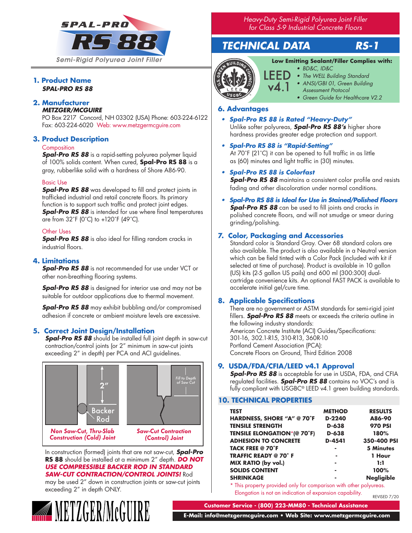

## **1. Product Name** *SPAL-PRO RS 88*

# **2. Manufacturer**

## *METZGER/MCGUIRE*

PO Box 2217 Concord, NH 03302 (USA) Phone: 603-224-6122 Fax: 603-224-6020 Web: www.metzgermcguire.com

# **3. Product Description**

#### **Composition**

*Spal-Pro RS 88* is a rapid-setting polyurea polymer liquid of 100% solids content. When cured, **Spal-Pro RS 88** is a gray, rubberlike solid with a hardness of Shore A86-90.

## Basic Use

**Spal-Pro RS 88** was developed to fill and protect joints in trafficked industrial and retail concrete floors. Its primary function is to support such traffic and protect joint edges. **Spal-Pro RS 88** is intended for use where final temperatures are from 32˚F (0˚C) to +120˚F (49˚C).

## Other Uses

*Spal-Pro RS 88* is also ideal for filling random cracks in industrial floors.

# **4. Limitations**

*Spal-Pro RS 88* is not recommended for use under VCT or other non-breathing flooring systems.

*Spal-Pro RS 88* is designed for interior use and may not be suitable for outdoor applications due to thermal movement.

*Spal-Pro RS 88* may exhibit bubbling and/or compromised adhesion if concrete or ambient moisture levels are excessive.

# **5. Correct Joint Design/Installation**

*Spal-Pro RS 88* should be installed full joint depth in saw-cut contraction/control joints (or 2" minimum in saw-cut joints exceeding 2" in depth) per PCA and ACI guidelines.



In construction (formed) joints that are not saw-cut, *Spal-Pro*  **RS 88** should be installed at a minimum 2" depth. *DO NOT USE COMPRESSIBLE BACKER ROD IN STANDARD SAW-CUT CONTRACTION/CONTROL JOINTS!* Rod

may be used 2" down in construction joints or saw-cut joints exceeding 2" in depth ONLY.

**METZGER/McGUIRE** 

*Heavy-Duty Semi-Rigid Polyurea Joint Filler for Class 5-9 Industrial Concrete Floors*

# *TECHNICAL DATA RS-1*

# **Low Emitting Sealant/Filler Complies with:**



- *• BD&C, ID&C*
- *• The WELL Building Standard*
- *• ANSI/GBI 01, Green Building*
- *Assessment Protocol*
- *• Green Guide for Healthcare V2.2*

# **6. Advantages**

- *• Spal-Pro RS 88 is Rated "Heavy-Duty"* Unlike softer polyureas, *Spal-Pro RS 88's* higher shore hardness provides greater edge protection and support.
- *• Spal-Pro RS 88 is "Rapid-Setting"* At 70˚F (21˚C) it can be opened to full traffic in as little as (60) minutes and light traffic in (30) minutes.

# *• Spal-Pro RS 88 is Colorfast*

*Spal-Pro RS 88* maintains a consistent color profile and resists fading and other discoloration under normal conditions.

*• Spal-Pro RS 88 is Ideal for Use in Stained/Polished Floors Spal-Pro RS 88* can be used to fill joints and cracks in polished concrete floors, and will not smudge or smear during grinding/polishing.

# **7. Color, Packaging and Accessories**

Standard color is Standard Gray. Over 68 standard colors are also available. The product is also available in a Neutral version which can be field tinted with a Color Pack (included with kit if selected at time of purchase). Product is available in 10 gallon (US) kits (2-5 gallon US pails) and 600 ml (300:300) dualcartridge convenience kits. An optional FAST PACK is available to accelerate initial gel/cure time.

# **8. Applicable Specifications**

There are no government or ASTM standards for semi-rigid joint fillers. *Spal-Pro RS 88* meets or exceeds the criteria outline in the following industry standards: American Concrete Institute (ACI) Guides/Specifications: 301-16, 302.1-R15, 310-R13, 360R-10 Portland Cement Association (PCA): Concrete Floors on Ground, Third Edition 2008

# **9. USDA/FDA/CFIA/LEED v4.1 Approval**

**Spal-Pro RS 88** is acceptable for use in USDA, FDA, and CFIA regulated facilities. *Spal-Pro RS 88* contains no VOC's and is fully compliant with USGBC® LEED v4.1 green building standards.

## **10. TECHNICAL PROPERTIES**

| <b>TEST</b>                        | <b>METHOD</b> | <b>RESULTS</b>    |
|------------------------------------|---------------|-------------------|
| HARDNESS, SHORE "A" @ 70°F         | D-2240        | A86-90            |
| <b>TENSILE STRENGTH</b>            | D-638         | <b>970 PSI</b>    |
| <b>TENSILE ELONGATION*(@ 70°F)</b> | D-638         | 180%              |
| <b>ADHESION TO CONCRETE</b>        | D-4541        | 350-400 PSI       |
| <b>TACK FREE @ 70°F</b>            | -             | <b>5 Minutes</b>  |
| <b>TRAFFIC READY @ 70°F</b>        |               | 1 Hour            |
| MIX RATIO (by vol.)                | ۰             | 1:1               |
| <b>SOLIDS CONTENT</b>              |               | 100%              |
| <b>SHRINKAGE</b>                   |               | <b>Negligible</b> |
|                                    |               |                   |

\* This property provided only for comparison with other polyureas. Elongation is not an indication of expansion capability. REVISED 7/20

**Customer Service - (800) 223-MM80 - Technical Assistance**

 **E-Mail: info@metzgermcguire.com • Web Site: www.metzgermcguire.com**